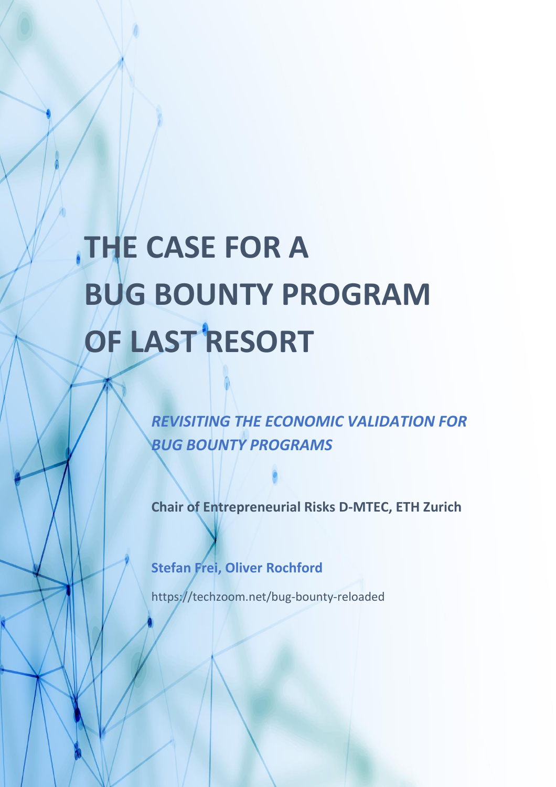# **THE CASE FOR A BUG BOUNTY PROGRAM OF LAST RESORT**

*REVISITING THE ECONOMIC VALIDATION FOR BUG BOUNTY PROGRAMS*

**Chair of Entrepreneurial Risks D-MTEC, ETH Zurich**

**Stefan Frei, Oliver Rochford**

https://techzoom.net/bug-bounty-reloaded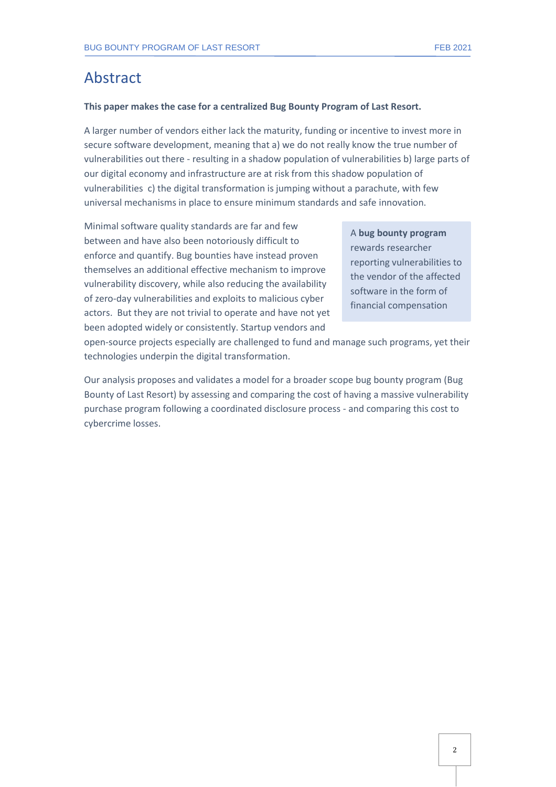# Abstract

#### **This paper makes the case for a centralized Bug Bounty Program of Last Resort.**

A larger number of vendors either lack the maturity, funding or incentive to invest more in secure software development, meaning that a) we do not really know the true number of vulnerabilities out there - resulting in a shadow population of vulnerabilities b) large parts of our digital economy and infrastructure are at risk from this shadow population of vulnerabilities c) the digital transformation is jumping without a parachute, with few universal mechanisms in place to ensure minimum standards and safe innovation.

Minimal software quality standards are far and few between and have also been notoriously difficult to enforce and quantify. Bug bounties have instead proven themselves an additional effective mechanism to improve vulnerability discovery, while also reducing the availability of zero-day vulnerabilities and exploits to malicious cyber actors. But they are not trivial to operate and have not yet been adopted widely or consistently. Startup vendors and

A **bug bounty program** rewards researcher reporting vulnerabilities to the vendor of the affected software in the form of financial compensation

open-source projects especially are challenged to fund and manage such programs, yet their technologies underpin the digital transformation.

Our analysis proposes and validates a model for a broader scope bug bounty program (Bug Bounty of Last Resort) by assessing and comparing the cost of having a massive vulnerability purchase program following a coordinated disclosure process - and comparing this cost to cybercrime losses.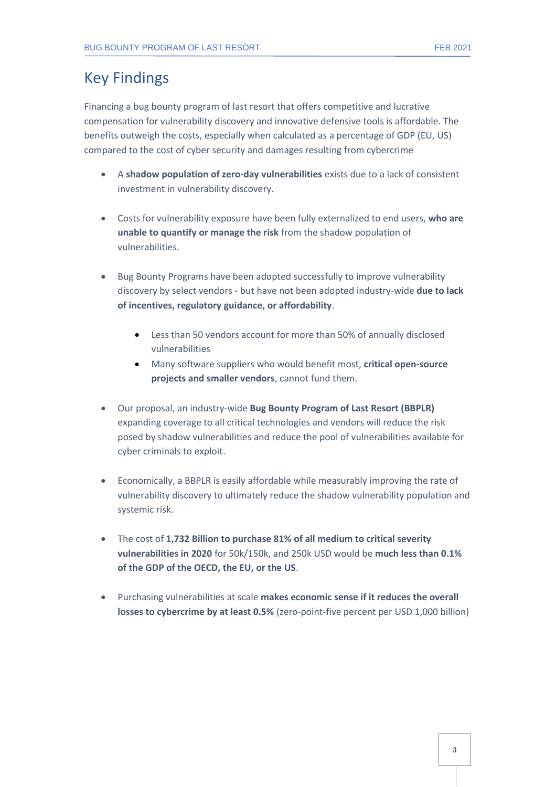# Key Findings

Financing a bug bounty program of last resort that offers competitive and lucrative compensation for vulnerability discovery and innovative defensive tools is affordable. The benefits outweigh the costs, especially when calculated as a percentage of GDP (EU, US) compared to the cost of cyber security and damages resulting from cybercrime

- A **shadow population of zero-day vulnerabilities** exists due to a lack of consistent investment in vulnerability discovery.
- Costs for vulnerability exposure have been fully externalized to end users, **who are unable to quantify or manage the risk** from the shadow population of vulnerabilities.
- Bug Bounty Programs have been adopted successfully to improve vulnerability discovery by select vendors - but have not been adopted industry-wide **due to lack of incentives, regulatory guidance, or affordability**.
	- Less than 50 vendors account for more than 50% of annually disclosed vulnerabilities
	- Many software suppliers who would benefit most, **critical open-source projects and smaller vendors**, cannot fund them.
- Our proposal, an industry-wide **Bug Bounty Program of Last Resort (BBPLR)** expanding coverage to all critical technologies and vendors will reduce the risk posed by shadow vulnerabilities and reduce the pool of vulnerabilities available for cyber criminals to exploit.
- Economically, a BBPLR is easily affordable while measurably improving the rate of vulnerability discovery to ultimately reduce the shadow vulnerability population and systemic risk.
- The cost of **1,732 Billion to purchase 81% of all medium to critical severity vulnerabilities in 2020** for 50k/150k, and 250k USD would be **much less than 0.1% of the GDP of the OECD, the EU, or the US**.
- Purchasing vulnerabilities at scale **makes economic sense if it reduces the overall losses to cybercrime by at least 0.5%** (zero-point-five percent per USD 1,000 billion)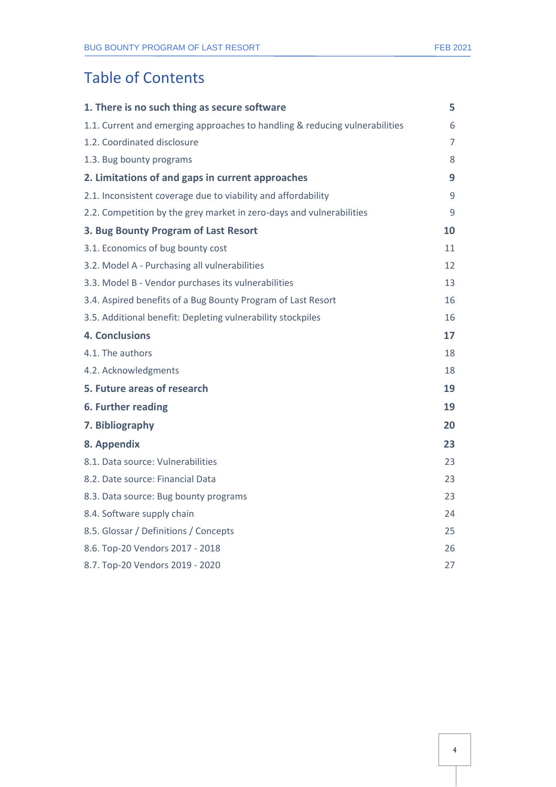# Table of Contents

| 1. There is no such thing as secure software                                | 5              |
|-----------------------------------------------------------------------------|----------------|
| 1.1. Current and emerging approaches to handling & reducing vulnerabilities | 6              |
| 1.2. Coordinated disclosure                                                 | $\overline{7}$ |
| 1.3. Bug bounty programs                                                    | 8              |
| 2. Limitations of and gaps in current approaches                            | 9              |
| 2.1. Inconsistent coverage due to viability and affordability               | 9              |
| 2.2. Competition by the grey market in zero-days and vulnerabilities        | 9              |
| 3. Bug Bounty Program of Last Resort                                        | 10             |
| 3.1. Economics of bug bounty cost                                           | 11             |
| 3.2. Model A - Purchasing all vulnerabilities                               | 12             |
| 3.3. Model B - Vendor purchases its vulnerabilities                         | 13             |
| 3.4. Aspired benefits of a Bug Bounty Program of Last Resort                | 16             |
| 3.5. Additional benefit: Depleting vulnerability stockpiles                 | 16             |
| <b>4. Conclusions</b>                                                       | 17             |
| 4.1. The authors                                                            | 18             |
| 4.2. Acknowledgments                                                        | 18             |
| 5. Future areas of research                                                 | 19             |
| 6. Further reading                                                          | 19             |
| 7. Bibliography                                                             | 20             |
| 8. Appendix                                                                 | 23             |
| 8.1. Data source: Vulnerabilities                                           | 23             |
| 8.2. Date source: Financial Data                                            | 23             |
| 8.3. Data source: Bug bounty programs                                       | 23             |
| 8.4. Software supply chain                                                  | 24             |
| 8.5. Glossar / Definitions / Concepts                                       | 25             |
| 8.6. Top-20 Vendors 2017 - 2018                                             | 26             |
| 8.7. Top-20 Vendors 2019 - 2020                                             | 27             |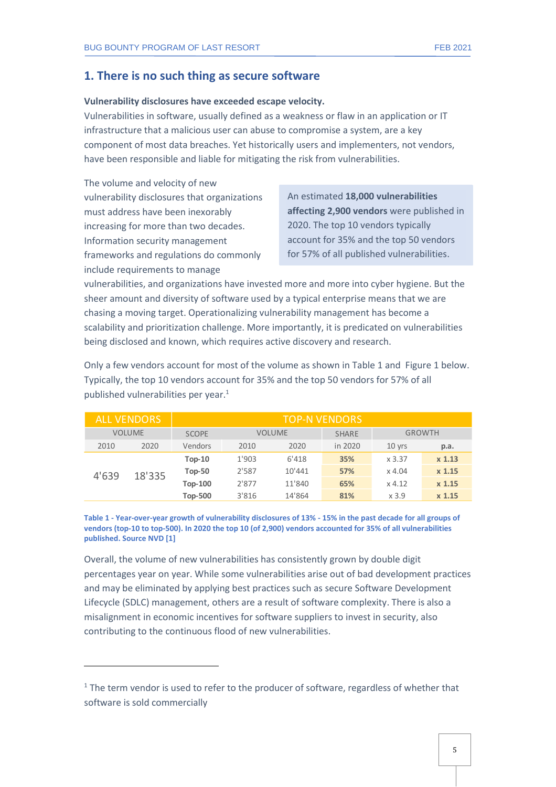#### <span id="page-4-0"></span>**Vulnerability disclosures have exceeded escape velocity.**

Vulnerabilities in software, usually defined as a weakness or flaw in an application or IT infrastructure that a malicious user can abuse to compromise a system, are a key component of most data breaches. Yet historically users and implementers, not vendors, have been responsible and liable for mitigating the risk from vulnerabilities.

The volume and velocity of new vulnerability disclosures that organizations must address have been inexorably increasing for more than two decades. Information security management frameworks and regulations do commonly include requirements to manage

An estimated **18,000 vulnerabilities affecting 2,900 vendors** were published in 2020. The top 10 vendors typically account for 35% and the top 50 vendors for 57% of all published vulnerabilities.

vulnerabilities, and organizations have invested more and more into cyber hygiene. But the sheer amount and diversity of software used by a typical enterprise means that we are chasing a moving target. Operationalizing vulnerability management has become a scalability and prioritization challenge. More importantly, it is predicated on vulnerabilities being disclosed and known, which requires active discovery and research.

Only a few vendors account for most of the volume as shown in [Table 1](#page-4-1) and [Figure 1](#page-5-1) below. Typically, the top 10 vendors account for 35% and the top 50 vendors for 57% of all published vulnerabilities per year.<sup>1</sup>

|               | <b>ALL VENDORS</b> |                |               | <b>TOP-N VENDORS</b> |              |               |          |
|---------------|--------------------|----------------|---------------|----------------------|--------------|---------------|----------|
| <b>VOLUME</b> |                    | <b>SCOPE</b>   | <b>VOLUME</b> |                      | <b>SHARE</b> | <b>GROWTH</b> |          |
| 2010          | 2020               | Vendors        | 2010          | 2020                 | in 2020      | $10$ yrs      | p.a.     |
| 4'639         | 18'335             | $Top-10$       | 1'903         | 6'418                | 35%          | x 3.37        | $x$ 1.13 |
|               |                    | <b>Top-50</b>  | 2'587         | 10'441               | 57%          | $\times$ 4.04 | $x$ 1.15 |
|               |                    | <b>Top-100</b> | 2'877         | 11'840               | 65%          | $x$ 4.12      | $x$ 1.15 |
|               |                    | <b>Top-500</b> | 3'816         | 14'864               | 81%          | x3.9          | $x$ 1.15 |

<span id="page-4-1"></span>**Table 1 - Year-over-year growth of vulnerability disclosures of 13% - 15% in the past decade for all groups of vendors (top-10 to top-500). In 2020 the top 10 (of 2,900) vendors accounted for 35% of all vulnerabilities published. Source NVD [1]**

Overall, the volume of new vulnerabilities has consistently grown by double digit percentages year on year. While some vulnerabilities arise out of bad development practices and may be eliminated by applying best practices such as secure Software Development Lifecycle (SDLC) management, others are a result of software complexity. There is also a misalignment in economic incentives for software suppliers to invest in security, also contributing to the continuous flood of new vulnerabilities.

 $1$  The term vendor is used to refer to the producer of software, regardless of whether that software is sold commercially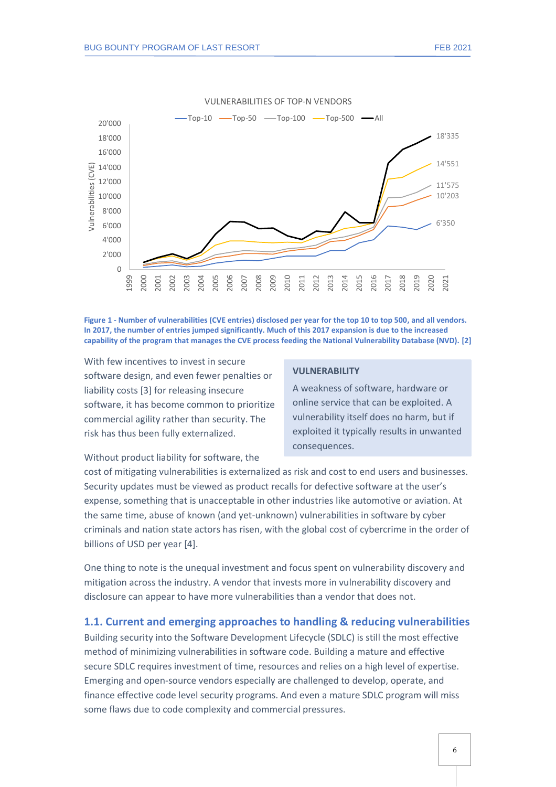

<span id="page-5-1"></span>**Figure 1 - Number of vulnerabilities (CVE entries) disclosed per year for the top 10 to top 500, and all vendors. In 2017, the number of entries jumped significantly. Much of this 2017 expansion is due to the increased capability of the program that manages the CVE process feeding the National Vulnerability Database (NVD). [2]**

With few incentives to invest in secure software design, and even fewer penalties or liability costs [3] for releasing insecure software, it has become common to prioritize commercial agility rather than security. The risk has thus been fully externalized.

#### **VULNERABILITY**

A weakness of software, hardware or online service that can be exploited. A vulnerability itself does no harm, but if exploited it typically results in unwanted consequences.

Without product liability for software, the

cost of mitigating vulnerabilities is externalized as risk and cost to end users and businesses. Security updates must be viewed as product recalls for defective software at the user's expense, something that is unacceptable in other industries like automotive or aviation. At the same time, abuse of known (and yet-unknown) vulnerabilities in software by cyber criminals and nation state actors has risen, with the global cost of cybercrime in the order of billions of USD per year [4].

One thing to note is the unequal investment and focus spent on vulnerability discovery and mitigation across the industry. A vendor that invests more in vulnerability discovery and disclosure can appear to have more vulnerabilities than a vendor that does not.

#### <span id="page-5-0"></span>**1.1. Current and emerging approaches to handling & reducing vulnerabilities**

Building security into the Software Development Lifecycle (SDLC) is still the most effective method of minimizing vulnerabilities in software code. Building a mature and effective secure SDLC requires investment of time, resources and relies on a high level of expertise. Emerging and open-source vendors especially are challenged to develop, operate, and finance effective code level security programs. And even a mature SDLC program will miss some flaws due to code complexity and commercial pressures.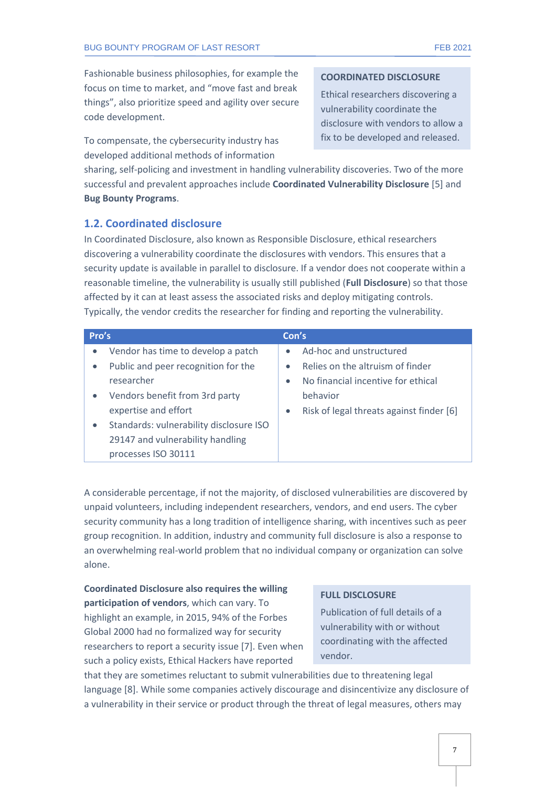Fashionable business philosophies, for example the focus on time to market, and "move fast and break things", also prioritize speed and agility over secure code development.

To compensate, the cybersecurity industry has developed additional methods of information

#### **COORDINATED DISCLOSURE**

Ethical researchers discovering a vulnerability coordinate the disclosure with vendors to allow a fix to be developed and released.

sharing, self-policing and investment in handling vulnerability discoveries. Two of the more successful and prevalent approaches include **Coordinated Vulnerability Disclosure** [5] and **Bug Bounty Programs**.

#### <span id="page-6-0"></span>**1.2. Coordinated disclosure**

In Coordinated Disclosure, also known as Responsible Disclosure, ethical researchers discovering a vulnerability coordinate the disclosures with vendors. This ensures that a security update is available in parallel to disclosure. If a vendor does not cooperate within a reasonable timeline, the vulnerability is usually still published (**Full Disclosure**) so that those affected by it can at least assess the associated risks and deploy mitigating controls. Typically, the vendor credits the researcher for finding and reporting the vulnerability.

| Pro's     |                                         | Con's     |                                          |
|-----------|-----------------------------------------|-----------|------------------------------------------|
| $\bullet$ | Vendor has time to develop a patch      |           | Ad-hoc and unstructured                  |
| $\bullet$ | Public and peer recognition for the     | $\bullet$ | Relies on the altruism of finder         |
|           | researcher                              | $\bullet$ | No financial incentive for ethical       |
| $\bullet$ | Vendors benefit from 3rd party          |           | behavior                                 |
|           | expertise and effort                    | $\bullet$ | Risk of legal threats against finder [6] |
| $\bullet$ | Standards: vulnerability disclosure ISO |           |                                          |
|           | 29147 and vulnerability handling        |           |                                          |
|           | processes ISO 30111                     |           |                                          |

A considerable percentage, if not the majority, of disclosed vulnerabilities are discovered by unpaid volunteers, including independent researchers, vendors, and end users. The cyber security community has a long tradition of intelligence sharing, with incentives such as peer group recognition. In addition, industry and community full disclosure is also a response to an overwhelming real-world problem that no individual company or organization can solve alone.

**Coordinated Disclosure also requires the willing participation of vendors**, which can vary. To highlight an example, in 2015, 94% of the Forbes Global 2000 had no formalized way for security researchers to report a security issue [7]. Even when such a policy exists, Ethical Hackers have reported

#### **FULL DISCLOSURE**

Publication of full details of a vulnerability with or without coordinating with the affected vendor.

that they are sometimes reluctant to submit vulnerabilities due to threatening legal language [8]. While some companies actively discourage and disincentivize any disclosure of a vulnerability in their service or product through the threat of legal measures, others may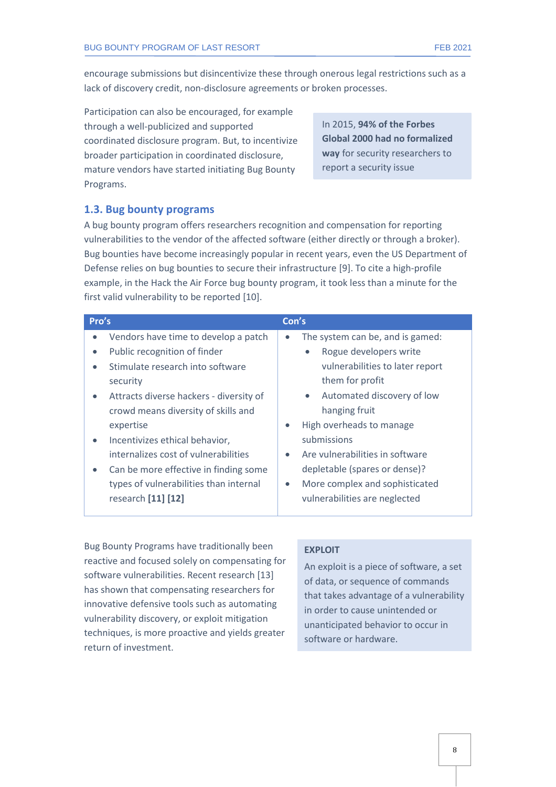encourage submissions but disincentivize these through onerous legal restrictions such as a lack of discovery credit, non-disclosure agreements or broken processes.

Participation can also be encouraged, for example through a well-publicized and supported coordinated disclosure program. But, to incentivize broader participation in coordinated disclosure, mature vendors have started initiating Bug Bounty Programs.

In 2015, **94% of the Forbes Global 2000 had no formalized way** for security researchers to report a security issue

#### <span id="page-7-0"></span>**1.3. Bug bounty programs**

A bug bounty program offers researchers recognition and compensation for reporting vulnerabilities to the vendor of the affected software (either directly or through a broker). Bug bounties have become increasingly popular in recent years, even the US Department of Defense relies on bug bounties to secure their infrastructure [9]. To cite a high-profile example, in the Hack the Air Force bug bounty program, it took less than a minute for the first valid vulnerability to be reported [10].

| Pro's     |                                         | Con's     |                                         |
|-----------|-----------------------------------------|-----------|-----------------------------------------|
| $\bullet$ | Vendors have time to develop a patch    | $\bullet$ | The system can be, and is gamed:        |
|           | Public recognition of finder            |           | Rogue developers write<br>$\bullet$     |
| $\bullet$ | Stimulate research into software        |           | vulnerabilities to later report         |
|           | security                                |           | them for profit                         |
| $\bullet$ | Attracts diverse hackers - diversity of |           | Automated discovery of low<br>$\bullet$ |
|           | crowd means diversity of skills and     |           | hanging fruit                           |
|           | expertise                               | $\bullet$ | High overheads to manage                |
| $\bullet$ | Incentivizes ethical behavior,          |           | submissions                             |
|           | internalizes cost of vulnerabilities    | $\bullet$ | Are vulnerabilities in software         |
| $\bullet$ | Can be more effective in finding some   |           | depletable (spares or dense)?           |
|           | types of vulnerabilities than internal  | $\bullet$ | More complex and sophisticated          |
|           | research [11] [12]                      |           | vulnerabilities are neglected           |

Bug Bounty Programs have traditionally been reactive and focused solely on compensating for software vulnerabilities. Recent research [13] has shown that compensating researchers for innovative defensive tools such as automating vulnerability discovery, or exploit mitigation techniques, is more proactive and yields greater return of investment.

#### **EXPLOIT**

An exploit is a piece of software, a set of data, or sequence of commands that takes advantage of a vulnerability in order to cause unintended or unanticipated behavior to occur in software or hardware.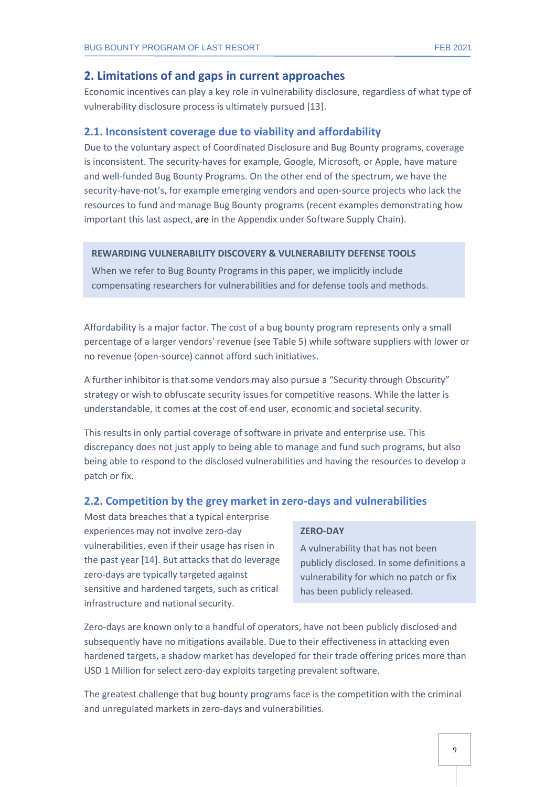#### **2. Limitations of and gaps in current approaches**

<span id="page-8-0"></span>Economic incentives can play a key role in vulnerability disclosure, regardless of what type of vulnerability disclosure process is ultimately pursued [13].

#### <span id="page-8-1"></span>**2.1. Inconsistent coverage due to viability and affordability**

Due to the voluntary aspect of Coordinated Disclosure and Bug Bounty programs, coverage is inconsistent. The security-haves for example, Google, Microsoft, or Apple, have mature and well-funded Bug Bounty Programs. On the other end of the spectrum, we have the security-have-not's, for example emerging vendors and open-source projects who lack the resources to fund and manage Bug Bounty programs (recent examples demonstrating how important this last aspect, are in the Appendix under Software Supply Chain).

#### **REWARDING VULNERABILITY DISCOVERY & VULNERABILITY DEFENSE TOOLS**

When we refer to Bug Bounty Programs in this paper, we implicitly include compensating researchers for vulnerabilities and for defense tools and methods.

Affordability is a major factor. The cost of a bug bounty program represents only a small percentage of a larger vendors' revenue (see [Table 5\)](#page-13-0) while software suppliers with lower or no revenue (open-source) cannot afford such initiatives.

A further inhibitor is that some vendors may also pursue a "Security through Obscurity" strategy or wish to obfuscate security issues for competitive reasons. While the latter is understandable, it comes at the cost of end user, economic and societal security.

This results in only partial coverage of software in private and enterprise use. This discrepancy does not just apply to being able to manage and fund such programs, but also being able to respond to the disclosed vulnerabilities and having the resources to develop a patch or fix.

#### <span id="page-8-2"></span>**2.2. Competition by the grey market in zero-days and vulnerabilities**

Most data breaches that a typical enterprise experiences may not involve zero-day vulnerabilities, even if their usage has risen in the past year [14]. But attacks that do leverage zero-days are typically targeted against sensitive and hardened targets, such as critical infrastructure and national security.

#### **ZERO-DAY**

A vulnerability that has not been publicly disclosed. In some definitions a vulnerability for which no patch or fix has been publicly released.

Zero-days are known only to a handful of operators, have not been publicly disclosed and subsequently have no mitigations available. Due to their effectiveness in attacking even hardened targets, a shadow market has developed for their trade offering prices more than USD 1 Million for select zero-day exploits targeting prevalent software.

The greatest challenge that bug bounty programs face is the competition with the criminal and unregulated markets in zero-days and vulnerabilities.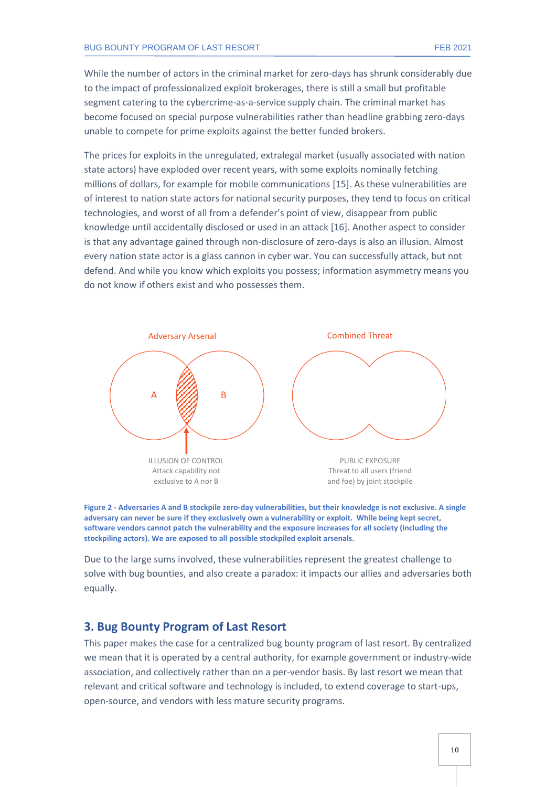While the number of actors in the criminal market for zero-days has shrunk considerably due to the impact of professionalized exploit brokerages, there is still a small but profitable segment catering to the cybercrime-as-a-service supply chain. The criminal market has become focused on special purpose vulnerabilities rather than headline grabbing zero-days unable to compete for prime exploits against the better funded brokers.

The prices for exploits in the unregulated, extralegal market (usually associated with nation state actors) have exploded over recent years, with some exploits nominally fetching millions of dollars, for example for mobile communications [15]. As these vulnerabilities are of interest to nation state actors for national security purposes, they tend to focus on critical technologies, and worst of all from a defender's point of view, disappear from public knowledge until accidentally disclosed or used in an attack [16]. Another aspect to consider is that any advantage gained through non-disclosure of zero-days is also an illusion. Almost every nation state actor is a glass cannon in cyber war. You can successfully attack, but not defend. And while you know which exploits you possess; information asymmetry means you do not know if others exist and who possesses them.





Due to the large sums involved, these vulnerabilities represent the greatest challenge to solve with bug bounties, and also create a paradox: it impacts our allies and adversaries both equally.

#### <span id="page-9-0"></span>**3. Bug Bounty Program of Last Resort**

This paper makes the case for a centralized bug bounty program of last resort. By centralized we mean that it is operated by a central authority, for example government or industry-wide association, and collectively rather than on a per-vendor basis. By last resort we mean that relevant and critical software and technology is included, to extend coverage to start-ups, open-source, and vendors with less mature security programs.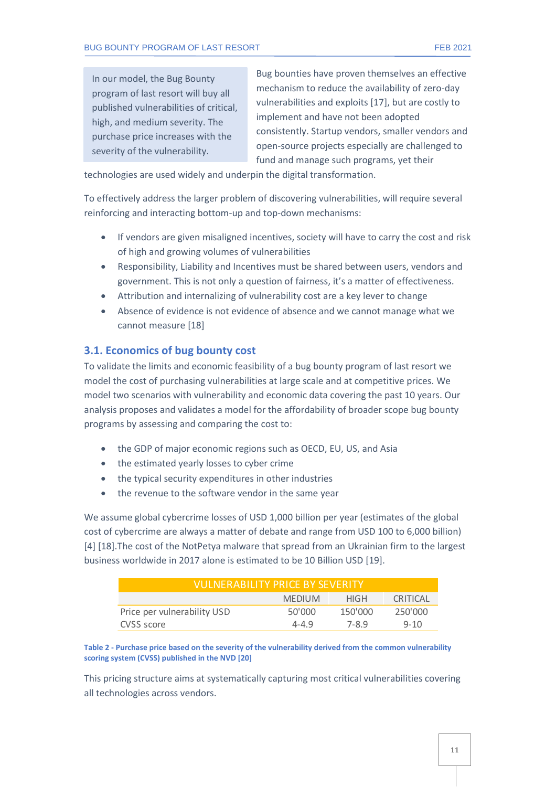In our model, the Bug Bounty program of last resort will buy all published vulnerabilities of critical, high, and medium severity. The purchase price increases with the severity of the vulnerability.

Bug bounties have proven themselves an effective mechanism to reduce the availability of zero-day vulnerabilities and exploits [17], but are costly to implement and have not been adopted consistently. Startup vendors, smaller vendors and open-source projects especially are challenged to fund and manage such programs, yet their

technologies are used widely and underpin the digital transformation.

To effectively address the larger problem of discovering vulnerabilities, will require several reinforcing and interacting bottom-up and top-down mechanisms:

- If vendors are given misaligned incentives, society will have to carry the cost and risk of high and growing volumes of vulnerabilities
- Responsibility, Liability and Incentives must be shared between users, vendors and government. This is not only a question of fairness, it's a matter of effectiveness.
- Attribution and internalizing of vulnerability cost are a key lever to change
- Absence of evidence is not evidence of absence and we cannot manage what we cannot measure [18]

#### <span id="page-10-0"></span>**3.1. Economics of bug bounty cost**

To validate the limits and economic feasibility of a bug bounty program of last resort we model the cost of purchasing vulnerabilities at large scale and at competitive prices. We model two scenarios with vulnerability and economic data covering the past 10 years. Our analysis proposes and validates a model for the affordability of broader scope bug bounty programs by assessing and comparing the cost to:

- the GDP of major economic regions such as OECD, EU, US, and Asia
- the estimated yearly losses to cyber crime
- the typical security expenditures in other industries
- the revenue to the software vendor in the same year

We assume global cybercrime losses of USD 1,000 billion per year (estimates of the global cost of cybercrime are always a matter of debate and range from USD 100 to 6,000 billion) [4] [18].The cost of the NotPetya malware that spread from an Ukrainian firm to the largest business worldwide in 2017 alone is estimated to be 10 Billion USD [19].

| VULNERABILITY PRICE BY SEVERITY |               |         |                 |  |  |  |  |  |
|---------------------------------|---------------|---------|-----------------|--|--|--|--|--|
|                                 | <b>MEDIUM</b> | HIGH.   | <b>CRITICAL</b> |  |  |  |  |  |
| Price per vulnerability USD     | 50'000        | 150'000 | 250'000         |  |  |  |  |  |
| CVSS score                      | $4 - 4.9$     | 7-8.9   | $9 - 10$        |  |  |  |  |  |

**Table 2 - Purchase price based on the severity of the vulnerability derived from the common vulnerability scoring system (CVSS) published in the NVD [20]**

This pricing structure aims at systematically capturing most critical vulnerabilities covering all technologies across vendors.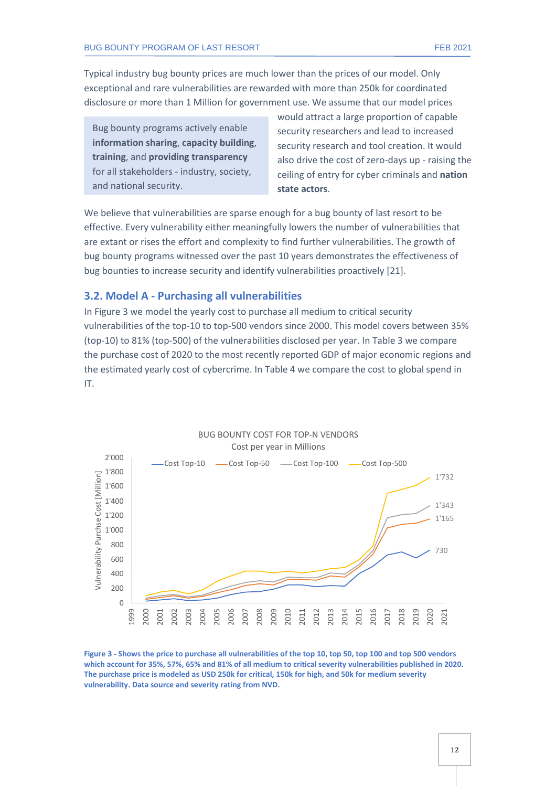Typical industry bug bounty prices are much lower than the prices of our model. Only exceptional and rare vulnerabilities are rewarded with more than 250k for coordinated disclosure or more than 1 Million for government use. We assume that our model prices

Bug bounty programs actively enable **information sharing**, **capacity building**, **training**, and **providing transparency** for all stakeholders - industry, society, and national security.

would attract a large proportion of capable security researchers and lead to increased security research and tool creation. It would also drive the cost of zero-days up - raising the ceiling of entry for cyber criminals and **nation state actors**.

We believe that vulnerabilities are sparse enough for a bug bounty of last resort to be effective. Every vulnerability either meaningfully lowers the number of vulnerabilities that are extant or rises the effort and complexity to find further vulnerabilities. The growth of bug bounty programs witnessed over the past 10 years demonstrates the effectiveness of bug bounties to increase security and identify vulnerabilities proactively [21].

#### <span id="page-11-0"></span>**3.2. Model A - Purchasing all vulnerabilities**

In [Figure 3](#page-11-1) we model the yearly cost to purchase all medium to critical security vulnerabilities of the top-10 to top-500 vendors since 2000. This model covers between 35% (top-10) to 81% (top-500) of the vulnerabilities disclosed per year. In [Table 3](#page-12-1) we compare the purchase cost of 2020 to the most recently reported GDP of major economic regions and the estimated yearly cost of cybercrime. I[n Table 4](#page-12-2) we compare the cost to global spend in IT.



<span id="page-11-1"></span>**Figure 3 - Shows the price to purchase all vulnerabilities of the top 10, top 50, top 100 and top 500 vendors which account for 35%, 57%, 65% and 81% of all medium to critical severity vulnerabilities published in 2020. The purchase price is modeled as USD 250k for critical, 150k for high, and 50k for medium severity vulnerability. Data source and severity rating from NVD.**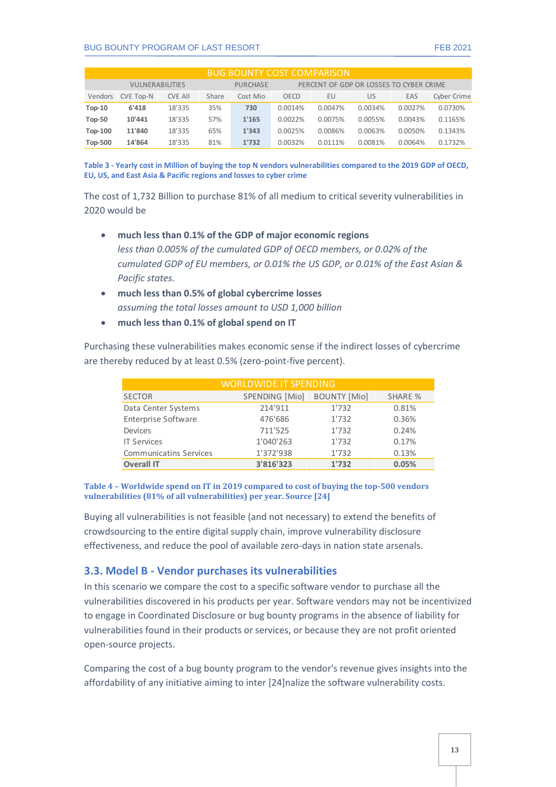#### BUG BOUNTY PROGRAM OF LAST RESORT FEB 2021

| <b>BUG BOUNTY COST COMPARISON</b> |                        |                |       |                 |                                         |         |         |         |             |  |  |
|-----------------------------------|------------------------|----------------|-------|-----------------|-----------------------------------------|---------|---------|---------|-------------|--|--|
|                                   | <b>VULNERABILITIES</b> |                |       | <b>PURCHASE</b> | PERCENT OF GDP OR LOSSES TO CYBER CRIME |         |         |         |             |  |  |
| Vendors                           | <b>CVE Top-N</b>       | <b>CVE AII</b> | Share | Cost Mio        | OECD                                    | EU      | US      | EAS     | Cyber Crime |  |  |
| $Top-10$                          | 6'418                  | 18'335         | 35%   | 730             | 0.0014%                                 | 0.0047% | 0.0034% | 0.0027% | 0.0730%     |  |  |
| <b>Top-50</b>                     | 10'441                 | 18'335         | 57%   | 1'165           | 0.0022%                                 | 0.0075% | 0.0055% | 0.0043% | 0.1165%     |  |  |
| <b>Top-100</b>                    | 11'840                 | 18'335         | 65%   | 1'343           | 0.0025%                                 | 0.0086% | 0.0063% | 0.0050% | 0.1343%     |  |  |
| <b>Top-500</b>                    | 14'864                 | 18'335         | 81%   | 1'732           | 0.0032%                                 | 0.0111% | 0.0081% | 0.0064% | 0.1732%     |  |  |

<span id="page-12-1"></span>**Table 3 - Yearly cost in Million of buying the top N vendors vulnerabilities compared to the 2019 GDP of OECD, EU, US, and East Asia & Pacific regions and losses to cyber crime**

The cost of 1,732 Billion to purchase 81% of all medium to critical severity vulnerabilities in 2020 would be

- **much less than 0.1% of the GDP of major economic regions** *less than 0.005% of the cumulated GDP of OECD members, or 0.02% of the cumulated GDP of EU members, or 0.01% the US GDP, or 0.01% of the East Asian & Pacific states.*
- **much less than 0.5% of global cybercrime losses** *assuming the total losses amount to USD 1,000 billion*
- **much less than 0.1% of global spend on IT**

Purchasing these vulnerabilities makes economic sense if the indirect losses of cybercrime are thereby reduced by at least 0.5% (zero-point-five percent).

| <b>WORLDWIDE IT SPENDING</b>  |                |                     |                |  |  |  |  |  |
|-------------------------------|----------------|---------------------|----------------|--|--|--|--|--|
| <b>SECTOR</b>                 | SPENDING [Mio] | <b>BOUNTY [Mio]</b> | <b>SHARE %</b> |  |  |  |  |  |
| Data Center Systems           | 214'911        | 1'732               | 0.81%          |  |  |  |  |  |
| <b>Enterprise Software</b>    | 476'686        | 1'732               | 0.36%          |  |  |  |  |  |
| Devices                       | 711'525        | 1'732               | 0.24%          |  |  |  |  |  |
| <b>IT Services</b>            | 1'040'263      | 1'732               | 0.17%          |  |  |  |  |  |
| <b>Communicatins Services</b> | 1'372'938      | 1'732               | 0.13%          |  |  |  |  |  |
| <b>Overall IT</b>             | 3'816'323      | 1'732               | 0.05%          |  |  |  |  |  |

#### <span id="page-12-2"></span>**Table 4 – Worldwide spend on IT in 2019 compared to cost of buying the top-500 vendors vulnerabilities (81% of all vulnerabilities) per year. Source [24]**

Buying all vulnerabilities is not feasible (and not necessary) to extend the benefits of crowdsourcing to the entire digital supply chain, improve vulnerability disclosure effectiveness, and reduce the pool of available zero-days in nation state arsenals.

#### <span id="page-12-0"></span>**3.3. Model B - Vendor purchases its vulnerabilities**

In this scenario we compare the cost to a specific software vendor to purchase all the vulnerabilities discovered in his products per year. Software vendors may not be incentivized to engage in Coordinated Disclosure or bug bounty programs in the absence of liability for vulnerabilities found in their products or services, or because they are not profit oriented open-source projects.

Comparing the cost of a bug bounty program to the vendor's revenue gives insights into the affordability of any initiative aiming to inter [24]nalize the software vulnerability costs.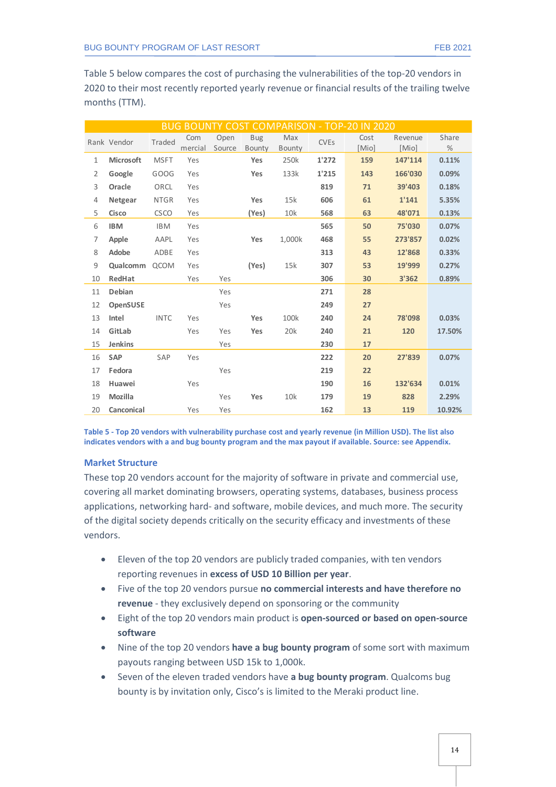[Table 5](#page-13-0) below compares the cost of purchasing the vulnerabilities of the top-20 vendors in 2020 to their most recently reported yearly revenue or financial results of the trailing twelve months (TTM).

|                | <b>BUG BOUNTY COST COMPARISON - TOP-20 IN 2020</b> |             |                |                |                      |               |                        |               |                  |            |  |
|----------------|----------------------------------------------------|-------------|----------------|----------------|----------------------|---------------|------------------------|---------------|------------------|------------|--|
|                | Rank Vendor                                        | Traded      | Com<br>mercial | Open<br>Source | <b>Bug</b><br>Bounty | Max<br>Bounty | <b>CVE<sub>S</sub></b> | Cost<br>[Mio] | Revenue<br>[Mio] | Share<br>% |  |
| $\mathbf{1}$   | <b>Microsoft</b>                                   | <b>MSFT</b> | Yes            |                | Yes                  | 250k          | 1'272                  | 159           | 147'114          | 0.11%      |  |
| 2              | Google                                             | GOOG        | Yes            |                | <b>Yes</b>           | 133k          | 1'215                  | 143           | 166'030          | 0.09%      |  |
| 3              | Oracle                                             | ORCL        | Yes            |                |                      |               | 819                    | 71            | 39'403           | 0.18%      |  |
| $\overline{4}$ | Netgear                                            | <b>NTGR</b> | Yes            |                | Yes                  | 15k           | 606                    | 61            | 1'141            | 5.35%      |  |
| 5              | Cisco                                              | <b>CSCO</b> | Yes            |                | (Yes)                | 10k           | 568                    | 63            | 48'071           | 0.13%      |  |
| 6              | <b>IBM</b>                                         | <b>IBM</b>  | Yes            |                |                      |               | 565                    | 50            | 75'030           | 0.07%      |  |
| $\overline{7}$ | Apple                                              | AAPL        | Yes            |                | Yes                  | 1,000k        | 468                    | 55            | 273'857          | 0.02%      |  |
| 8              | Adobe                                              | ADBE        | Yes            |                |                      |               | 313                    | 43            | 12'868           | 0.33%      |  |
| 9              | Qualcomm QCOM                                      |             | Yes            |                | (Yes)                | 15k           | 307                    | 53            | 19'999           | 0.27%      |  |
| 10             | RedHat                                             |             | Yes            | Yes            |                      |               | 306                    | 30            | 3'362            | 0.89%      |  |
| 11             | Debian                                             |             |                | Yes            |                      |               | 271                    | 28            |                  |            |  |
| 12             | <b>OpenSUSE</b>                                    |             |                | Yes            |                      |               | 249                    | 27            |                  |            |  |
| 13             | Intel                                              | <b>INTC</b> | Yes            |                | Yes                  | 100k          | 240                    | 24            | 78'098           | 0.03%      |  |
| 14             | GitLab                                             |             | Yes            | Yes            | Yes                  | 20k           | 240                    | 21            | 120              | 17.50%     |  |
| 15             | Jenkins                                            |             |                | Yes            |                      |               | 230                    | 17            |                  |            |  |
| 16             | <b>SAP</b>                                         | SAP         | Yes            |                |                      |               | 222                    | 20            | 27'839           | 0.07%      |  |
| 17             | Fedora                                             |             |                | Yes            |                      |               | 219                    | 22            |                  |            |  |
| 18             | Huawei                                             |             | Yes            |                |                      |               | 190                    | 16            | 132'634          | 0.01%      |  |
| 19             | Mozilla                                            |             |                | Yes            | Yes                  | 10k           | 179                    | 19            | 828              | 2.29%      |  |
| 20             | Canconical                                         |             | Yes            | Yes            |                      |               | 162                    | 13            | 119              | 10.92%     |  |

<span id="page-13-0"></span>**Table 5 - Top 20 vendors with vulnerability purchase cost and yearly revenue (in Million USD). The list also indicates vendors with a and bug bounty program and the max payout if available. Source: see Appendix.**

#### **Market Structure**

These top 20 vendors account for the majority of software in private and commercial use, covering all market dominating browsers, operating systems, databases, business process applications, networking hard- and software, mobile devices, and much more. The security of the digital society depends critically on the security efficacy and investments of these vendors.

- Eleven of the top 20 vendors are publicly traded companies, with ten vendors reporting revenues in **excess of USD 10 Billion per year**.
- Five of the top 20 vendors pursue **no commercial interests and have therefore no revenue** - they exclusively depend on sponsoring or the community
- Eight of the top 20 vendors main product is **open-sourced or based on open-source software**
- Nine of the top 20 vendors **have a bug bounty program** of some sort with maximum payouts ranging between USD 15k to 1,000k.
- Seven of the eleven traded vendors have **a bug bounty program**. Qualcoms bug bounty is by invitation only, Cisco's is limited to the Meraki product line.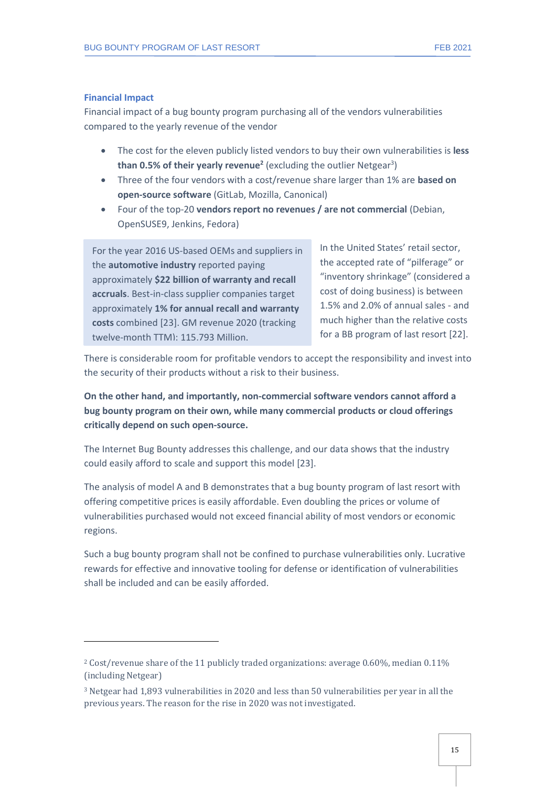#### **Financial Impact**

Financial impact of a bug bounty program purchasing all of the vendors vulnerabilities compared to the yearly revenue of the vendor

- The cost for the eleven publicly listed vendors to buy their own vulnerabilities is **less than 0.5% of their yearly revenue<sup>2</sup> (**excluding the outlier Netgear<sup>3</sup>)
- Three of the four vendors with a cost/revenue share larger than 1% are **based on open-source software** (GitLab, Mozilla, Canonical)
- Four of the top-20 **vendors report no revenues / are not commercial** (Debian, OpenSUSE9, Jenkins, Fedora)

For the year 2016 US-based OEMs and suppliers in the **automotive industry** reported paying approximately **\$22 billion of warranty and recall accruals**. Best-in-class supplier companies target approximately **1% for annual recall and warranty costs** combined [23]. GM revenue 2020 (tracking twelve-month TTM): 115,793 Million.

In the United States' retail sector, the accepted rate of "pilferage" or "inventory shrinkage" (considered a cost of doing business) is between 1.5% and 2.0% of annual sales - and much higher than the relative costs for a BB program of last resort [22].

There is considerable room for profitable vendors to accept the responsibility and invest into the security of their products without a risk to their business.

**On the other hand, and importantly, non-commercial software vendors cannot afford a bug bounty program on their own, while many commercial products or cloud offerings critically depend on such open-source.** 

The Internet Bug Bounty addresses this challenge, and our data shows that the industry could easily afford to scale and support this model [23].

The analysis of model A and B demonstrates that a bug bounty program of last resort with offering competitive prices is easily affordable. Even doubling the prices or volume of vulnerabilities purchased would not exceed financial ability of most vendors or economic regions.

Such a bug bounty program shall not be confined to purchase vulnerabilities only. Lucrative rewards for effective and innovative tooling for defense or identification of vulnerabilities shall be included and can be easily afforded.

<sup>&</sup>lt;sup>2</sup> Cost/revenue share of the 11 publicly traded organizations: average 0.60%, median 0.11% (including Netgear)

<sup>3</sup> Netgear had 1,893 vulnerabilities in 2020 and less than 50 vulnerabilities per year in all the previous years. The reason for the rise in 2020 was not investigated.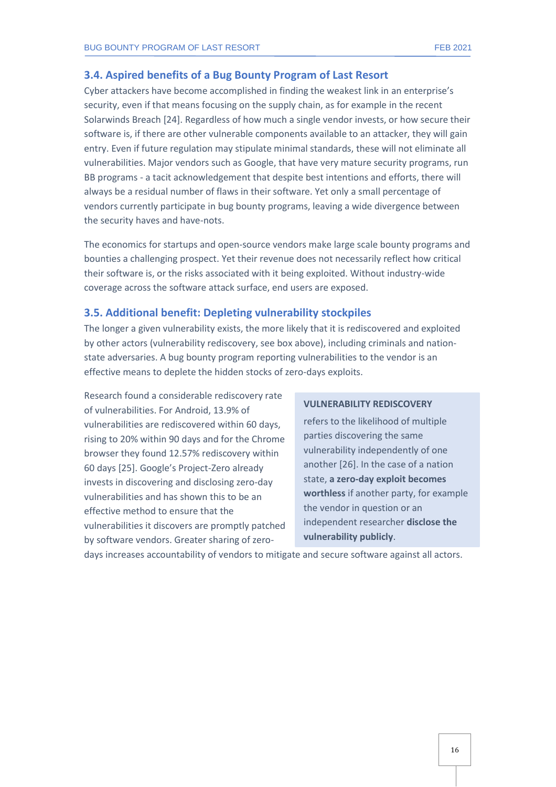#### <span id="page-15-0"></span>**3.4. Aspired benefits of a Bug Bounty Program of Last Resort**

Cyber attackers have become accomplished in finding the weakest link in an enterprise's security, even if that means focusing on the supply chain, as for example in the recent Solarwinds Breach [24]. Regardless of how much a single vendor invests, or how secure their software is, if there are other vulnerable components available to an attacker, they will gain entry. Even if future regulation may stipulate minimal standards, these will not eliminate all vulnerabilities. Major vendors such as Google, that have very mature security programs, run BB programs - a tacit acknowledgement that despite best intentions and efforts, there will always be a residual number of flaws in their software. Yet only a small percentage of vendors currently participate in bug bounty programs, leaving a wide divergence between the security haves and have-nots.

The economics for startups and open-source vendors make large scale bounty programs and bounties a challenging prospect. Yet their revenue does not necessarily reflect how critical their software is, or the risks associated with it being exploited. Without industry-wide coverage across the software attack surface, end users are exposed.

#### <span id="page-15-1"></span>**3.5. Additional benefit: Depleting vulnerability stockpiles**

The longer a given vulnerability exists, the more likely that it is rediscovered and exploited by other actors (vulnerability rediscovery, see box above), including criminals and nationstate adversaries. A bug bounty program reporting vulnerabilities to the vendor is an effective means to deplete the hidden stocks of zero-days exploits.

Research found a considerable rediscovery rate of vulnerabilities. For Android, 13.9% of vulnerabilities are rediscovered within 60 days, rising to 20% within 90 days and for the Chrome browser they found 12.57% rediscovery within 60 days [25]. Google's Project-Zero already invests in discovering and disclosing zero-day vulnerabilities and has shown this to be an effective method to ensure that the vulnerabilities it discovers are promptly patched by software vendors. Greater sharing of zero-

#### **VULNERABILITY REDISCOVERY**

refers to the likelihood of multiple parties discovering the same vulnerability independently of one another [26]. In the case of a nation state, **a zero-day exploit becomes worthless** if another party, for example the vendor in question or an independent researcher **disclose the vulnerability publicly**.

days increases accountability of vendors to mitigate and secure software against all actors.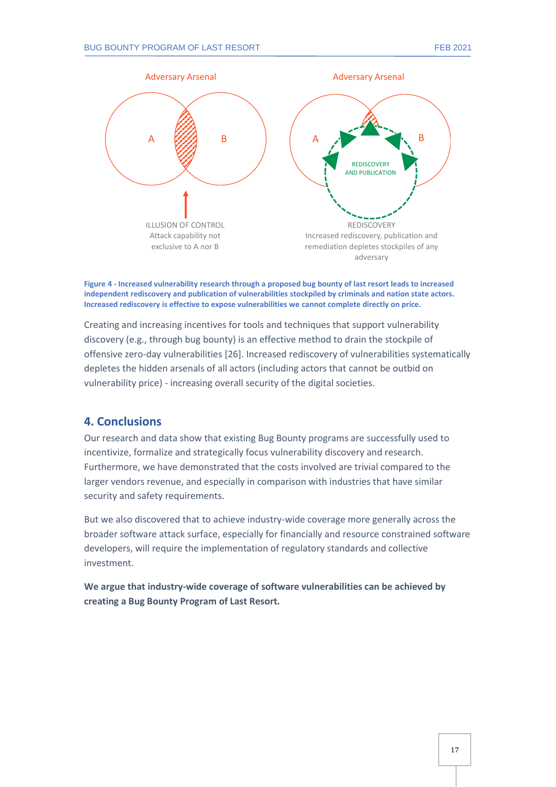

**Figure 4 - Increased vulnerability research through a proposed bug bounty of last resort leads to increased independent rediscovery and publication of vulnerabilities stockpiled by criminals and nation state actors. Increased rediscovery is effective to expose vulnerabilities we cannot complete directly on price.**

Creating and increasing incentives for tools and techniques that support vulnerability discovery (e.g., through bug bounty) is an effective method to drain the stockpile of offensive zero-day vulnerabilities [26]. Increased rediscovery of vulnerabilities systematically depletes the hidden arsenals of all actors (including actors that cannot be outbid on vulnerability price) - increasing overall security of the digital societies.

#### <span id="page-16-0"></span>**4. Conclusions**

Our research and data show that existing Bug Bounty programs are successfully used to incentivize, formalize and strategically focus vulnerability discovery and research. Furthermore, we have demonstrated that the costs involved are trivial compared to the larger vendors revenue, and especially in comparison with industries that have similar security and safety requirements.

But we also discovered that to achieve industry-wide coverage more generally across the broader software attack surface, especially for financially and resource constrained software developers, will require the implementation of regulatory standards and collective investment.

**We argue that industry-wide coverage of software vulnerabilities can be achieved by creating a Bug Bounty Program of Last Resort.**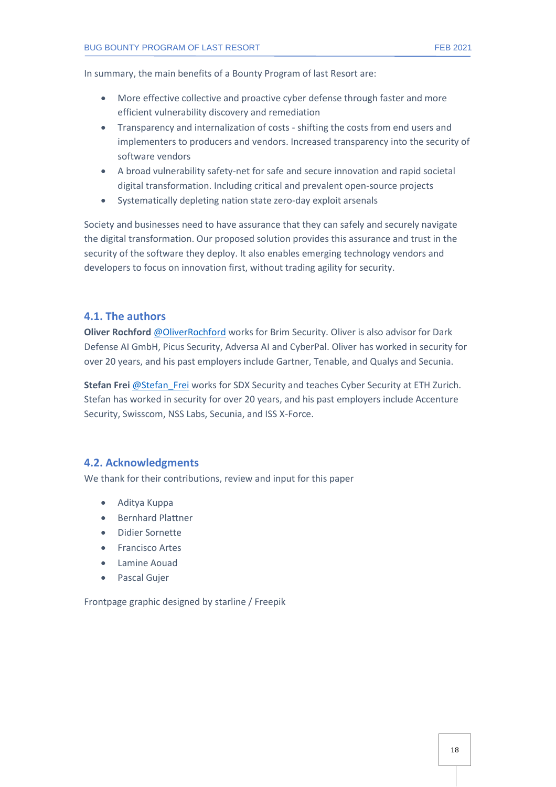In summary, the main benefits of a Bounty Program of last Resort are:

- More effective collective and proactive cyber defense through faster and more efficient vulnerability discovery and remediation
- Transparency and internalization of costs shifting the costs from end users and implementers to producers and vendors. Increased transparency into the security of software vendors
- A broad vulnerability safety-net for safe and secure innovation and rapid societal digital transformation. Including critical and prevalent open-source projects
- Systematically depleting nation state zero-day exploit arsenals

Society and businesses need to have assurance that they can safely and securely navigate the digital transformation. Our proposed solution provides this assurance and trust in the security of the software they deploy. It also enables emerging technology vendors and developers to focus on innovation first, without trading agility for security.

#### <span id="page-17-0"></span>**4.1. The authors**

**Oliver Rochford** [@OliverRochford](https://twitter.com/OliverRochford) works for Brim Security. Oliver is also advisor for Dark Defense AI GmbH, Picus Security, Adversa AI and CyberPal. Oliver has worked in security for over 20 years, and his past employers include Gartner, Tenable, and Qualys and Secunia.

**Stefan Frei** [@Stefan\\_Frei](https://twitter.com/Stefan_Frei) works for SDX Security and teaches Cyber Security at ETH Zurich. Stefan has worked in security for over 20 years, and his past employers include Accenture Security, Swisscom, NSS Labs, Secunia, and ISS X-Force.

#### <span id="page-17-1"></span>**4.2. Acknowledgments**

We thank for their contributions, review and input for this paper

- Aditya Kuppa
- Bernhard Plattner
- Didier Sornette
- Francisco Artes
- Lamine Aouad
- Pascal Guier

Frontpage graphic designed by starline / Freepik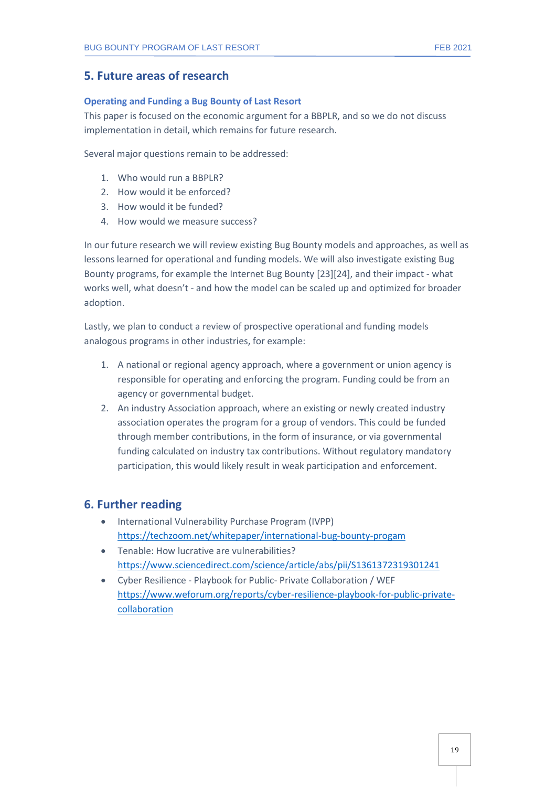#### <span id="page-18-0"></span>**5. Future areas of research**

#### **Operating and Funding a Bug Bounty of Last Resort**

This paper is focused on the economic argument for a BBPLR, and so we do not discuss implementation in detail, which remains for future research.

Several major questions remain to be addressed:

- 1. Who would run a BBPLR?
- 2. How would it be enforced?
- 3. How would it be funded?
- 4. How would we measure success?

In our future research we will review existing Bug Bounty models and approaches, as well as lessons learned for operational and funding models. We will also investigate existing Bug Bounty programs, for example the Internet Bug Bounty [23][24], and their impact - what works well, what doesn't - and how the model can be scaled up and optimized for broader adoption.

Lastly, we plan to conduct a review of prospective operational and funding models analogous programs in other industries, for example:

- 1. A national or regional agency approach, where a government or union agency is responsible for operating and enforcing the program. Funding could be from an agency or governmental budget.
- 2. An industry Association approach, where an existing or newly created industry association operates the program for a group of vendors. This could be funded through member contributions, in the form of insurance, or via governmental funding calculated on industry tax contributions. Without regulatory mandatory participation, this would likely result in weak participation and enforcement.

#### <span id="page-18-1"></span>**6. Further reading**

- International Vulnerability Purchase Program (IVPP) <https://techzoom.net/whitepaper/international-bug-bounty-progam>
- Tenable: How lucrative are vulnerabilities? <https://www.sciencedirect.com/science/article/abs/pii/S1361372319301241>
- Cyber Resilience Playbook for Public- Private Collaboration / WEF [https://www.weforum.org/reports/cyber-resilience-playbook-for-public-private](https://www.weforum.org/reports/cyber-resilience-playbook-for-public-private-collaboration)[collaboration](https://www.weforum.org/reports/cyber-resilience-playbook-for-public-private-collaboration)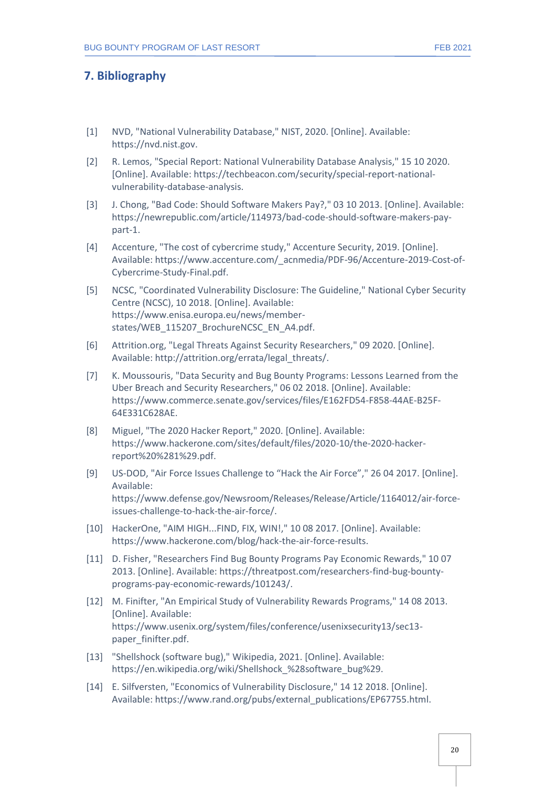#### <span id="page-19-0"></span>**7. Bibliography**

- [1] NVD, "National Vulnerability Database," NIST, 2020. [Online]. Available: https://nvd.nist.gov.
- [2] R. Lemos, "Special Report: National Vulnerability Database Analysis," 15 10 2020. [Online]. Available: https://techbeacon.com/security/special-report-nationalvulnerability-database-analysis.
- [3] J. Chong, "Bad Code: Should Software Makers Pay?," 03 10 2013. [Online]. Available: https://newrepublic.com/article/114973/bad-code-should-software-makers-paypart-1.
- [4] Accenture, "The cost of cybercrime study," Accenture Security, 2019. [Online]. Available: https://www.accenture.com/\_acnmedia/PDF-96/Accenture-2019-Cost-of-Cybercrime-Study-Final.pdf.
- [5] NCSC, "Coordinated Vulnerability Disclosure: The Guideline," National Cyber Security Centre (NCSC), 10 2018. [Online]. Available: https://www.enisa.europa.eu/news/memberstates/WEB\_115207\_BrochureNCSC\_EN\_A4.pdf.
- [6] Attrition.org, "Legal Threats Against Security Researchers," 09 2020. [Online]. Available: http://attrition.org/errata/legal\_threats/.
- [7] K. Moussouris, "Data Security and Bug Bounty Programs: Lessons Learned from the Uber Breach and Security Researchers," 06 02 2018. [Online]. Available: https://www.commerce.senate.gov/services/files/E162FD54-F858-44AE-B25F-64E331C628AE.
- [8] Miguel, "The 2020 Hacker Report," 2020. [Online]. Available: https://www.hackerone.com/sites/default/files/2020-10/the-2020-hackerreport%20%281%29.pdf.
- [9] US-DOD, "Air Force Issues Challenge to "Hack the Air Force"," 26 04 2017. [Online]. Available: https://www.defense.gov/Newsroom/Releases/Release/Article/1164012/air-forceissues-challenge-to-hack-the-air-force/.
- [10] HackerOne, "AIM HIGH...FIND, FIX, WIN!," 10 08 2017. [Online]. Available: https://www.hackerone.com/blog/hack-the-air-force-results.
- [11] D. Fisher, "Researchers Find Bug Bounty Programs Pay Economic Rewards," 10 07 2013. [Online]. Available: https://threatpost.com/researchers-find-bug-bountyprograms-pay-economic-rewards/101243/.
- [12] M. Finifter, "An Empirical Study of Vulnerability Rewards Programs," 14 08 2013. [Online]. Available: https://www.usenix.org/system/files/conference/usenixsecurity13/sec13 paper\_finifter.pdf.
- [13] "Shellshock (software bug)," Wikipedia, 2021. [Online]. Available: https://en.wikipedia.org/wiki/Shellshock\_%28software\_bug%29.
- [14] E. Silfversten, "Economics of Vulnerability Disclosure," 14 12 2018. [Online]. Available: https://www.rand.org/pubs/external\_publications/EP67755.html.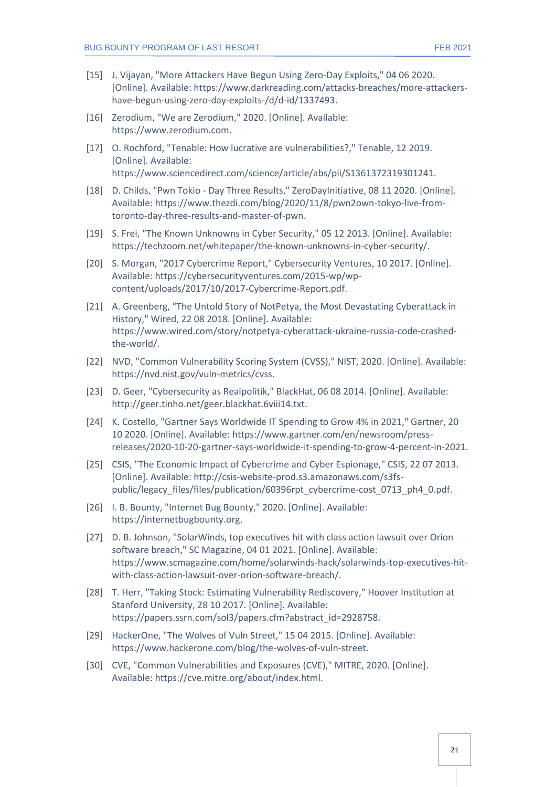- [15] J. Vijayan, "More Attackers Have Begun Using Zero-Day Exploits," 04 06 2020. [Online]. Available: https://www.darkreading.com/attacks-breaches/more-attackershave-begun-using-zero-day-exploits-/d/d-id/1337493.
- [16] Zerodium, "We are Zerodium," 2020. [Online]. Available: https://www.zerodium.com.
- [17] O. Rochford, "Tenable: How lucrative are vulnerabilities?," Tenable, 12 2019. [Online]. Available: https://www.sciencedirect.com/science/article/abs/pii/S1361372319301241.
- [18] D. Childs, "Pwn Tokio Day Three Results," ZeroDayInitiative, 08 11 2020. [Online]. Available: https://www.thezdi.com/blog/2020/11/8/pwn2own-tokyo-live-fromtoronto-day-three-results-and-master-of-pwn.
- [19] S. Frei, "The Known Unknowns in Cyber Security," 05 12 2013. [Online]. Available: https://techzoom.net/whitepaper/the-known-unknowns-in-cyber-security/.
- [20] S. Morgan, "2017 Cybercrime Report," Cybersecurity Ventures, 10 2017. [Online]. Available: https://cybersecurityventures.com/2015-wp/wpcontent/uploads/2017/10/2017-Cybercrime-Report.pdf.
- [21] A. Greenberg, "The Untold Story of NotPetya, the Most Devastating Cyberattack in History," Wired, 22 08 2018. [Online]. Available: https://www.wired.com/story/notpetya-cyberattack-ukraine-russia-code-crashedthe-world/.
- [22] NVD, "Common Vulnerability Scoring System (CVSS)," NIST, 2020. [Online]. Available: https://nvd.nist.gov/vuln-metrics/cvss.
- [23] D. Geer, "Cybersecurity as Realpolitik," BlackHat, 06 08 2014. [Online]. Available: http://geer.tinho.net/geer.blackhat.6viii14.txt.
- [24] K. Costello, "Gartner Says Worldwide IT Spending to Grow 4% in 2021," Gartner, 20 10 2020. [Online]. Available: https://www.gartner.com/en/newsroom/pressreleases/2020-10-20-gartner-says-worldwide-it-spending-to-grow-4-percent-in-2021.
- [25] CSIS, "The Economic Impact of Cybercrime and Cyber Espionage," CSIS, 22 07 2013. [Online]. Available: http://csis-website-prod.s3.amazonaws.com/s3fspublic/legacy\_files/files/publication/60396rpt\_cybercrime-cost\_0713\_ph4\_0.pdf.
- [26] I. B. Bounty, "Internet Bug Bounty," 2020. [Online]. Available: https://internetbugbounty.org.
- [27] D. B. Johnson, "SolarWinds, top executives hit with class action lawsuit over Orion software breach," SC Magazine, 04 01 2021. [Online]. Available: https://www.scmagazine.com/home/solarwinds-hack/solarwinds-top-executives-hitwith-class-action-lawsuit-over-orion-software-breach/.
- [28] T. Herr, "Taking Stock: Estimating Vulnerability Rediscovery," Hoover Institution at Stanford University, 28 10 2017. [Online]. Available: https://papers.ssrn.com/sol3/papers.cfm?abstract\_id=2928758.
- [29] HackerOne, "The Wolves of Vuln Street," 15 04 2015. [Online]. Available: https://www.hackerone.com/blog/the-wolves-of-vuln-street.
- [30] CVE, "Common Vulnerabilities and Exposures (CVE)," MITRE, 2020. [Online]. Available: https://cve.mitre.org/about/index.html.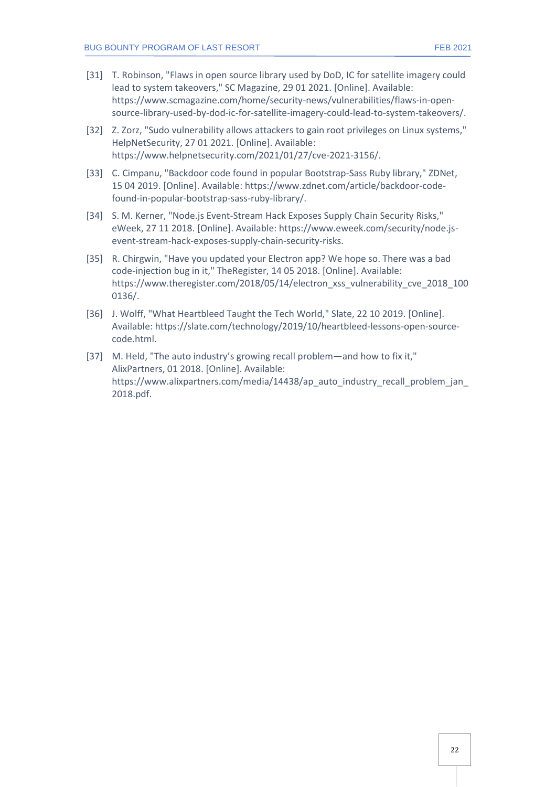- [31] T. Robinson, "Flaws in open source library used by DoD, IC for satellite imagery could lead to system takeovers," SC Magazine, 29 01 2021. [Online]. Available: https://www.scmagazine.com/home/security-news/vulnerabilities/flaws-in-opensource-library-used-by-dod-ic-for-satellite-imagery-could-lead-to-system-takeovers/.
- [32] Z. Zorz, "Sudo vulnerability allows attackers to gain root privileges on Linux systems," HelpNetSecurity, 27 01 2021. [Online]. Available: https://www.helpnetsecurity.com/2021/01/27/cve-2021-3156/.
- [33] C. Cimpanu, "Backdoor code found in popular Bootstrap-Sass Ruby library," ZDNet, 15 04 2019. [Online]. Available: https://www.zdnet.com/article/backdoor-codefound-in-popular-bootstrap-sass-ruby-library/.
- [34] S. M. Kerner, "Node.js Event-Stream Hack Exposes Supply Chain Security Risks," eWeek, 27 11 2018. [Online]. Available: https://www.eweek.com/security/node.jsevent-stream-hack-exposes-supply-chain-security-risks.
- [35] R. Chirgwin, "Have you updated your Electron app? We hope so. There was a bad code-injection bug in it," TheRegister, 14 05 2018. [Online]. Available: https://www.theregister.com/2018/05/14/electron xss\_vulnerability\_cve\_2018\_100 0136/.
- [36] J. Wolff, "What Heartbleed Taught the Tech World," Slate, 22 10 2019. [Online]. Available: https://slate.com/technology/2019/10/heartbleed-lessons-open-sourcecode.html.
- [37] M. Held, "The auto industry's growing recall problem—and how to fix it," AlixPartners, 01 2018. [Online]. Available: https://www.alixpartners.com/media/14438/ap\_auto\_industry\_recall\_problem\_jan\_ 2018.pdf.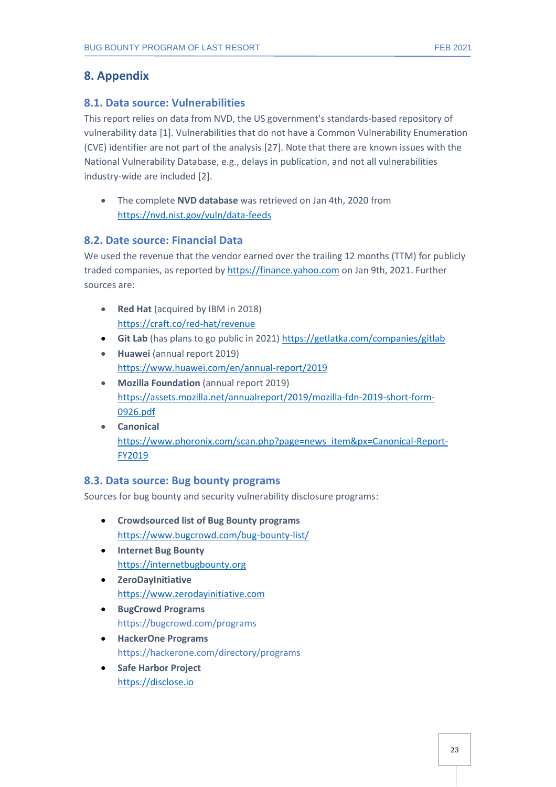### **8. Appendix**

#### <span id="page-22-1"></span><span id="page-22-0"></span>**8.1. Data source: Vulnerabilities**

This report relies on data from NVD, the US government's standards-based repository of vulnerability data [1]. Vulnerabilities that do not have a Common Vulnerability Enumeration (CVE) identifier are not part of the analysis [27]. Note that there are known issues with the National Vulnerability Database, e.g., delays in publication, and not all vulnerabilities industry-wide are included [2].

• The complete **NVD database** was retrieved on Jan 4th, 2020 from <https://nvd.nist.gov/vuln/data-feeds>

#### <span id="page-22-2"></span>**8.2. Date source: Financial Data**

We used the revenue that the vendor earned over the trailing 12 months (TTM) for publicly traded companies, as reported by [https://finance.yahoo.com](https://finance.yahoo.com/) on Jan 9th, 2021. Further sources are:

- **Red Hat** (acquired by IBM in 2018) <https://craft.co/red-hat/revenue>
- **Git Lab** (has plans to go public in 2021[\) https://getlatka.com/companies/gitlab](https://getlatka.com/companies/gitlab)
- **Huawei** (annual report 2019) <https://www.huawei.com/en/annual-report/2019>
- **Mozilla Foundation** (annual report 2019) [https://assets.mozilla.net/annualreport/2019/mozilla-fdn-2019-short-form-](https://assets.mozilla.net/annualreport/2019/mozilla-fdn-2019-short-form-0926.pdf)[0926.pdf](https://assets.mozilla.net/annualreport/2019/mozilla-fdn-2019-short-form-0926.pdf)
- **Canonical** [https://www.phoronix.com/scan.php?page=news\\_item&px=Canonical-Report-](https://www.phoronix.com/scan.php?page=news_item&px=Canonical-Report-FY2019)[FY2019](https://www.phoronix.com/scan.php?page=news_item&px=Canonical-Report-FY2019)

#### <span id="page-22-3"></span>**8.3. Data source: Bug bounty programs**

Sources for bug bounty and security vulnerability disclosure programs:

- **Crowdsourced list of Bug Bounty programs** <https://www.bugcrowd.com/bug-bounty-list/>
- **Internet Bug Bounty** [https://internetbugbounty.org](https://internetbugbounty.org/)
- **ZeroDayInitiative** [https://www.zerodayinitiative.com](https://www.zerodayinitiative.com/)
- **BugCrowd Programs** https://bugcrowd.com/programs
- **HackerOne Programs** https://hackerone.com/directory/programs
- **Safe Harbor Project** [https://disclose.io](https://disclose.io/)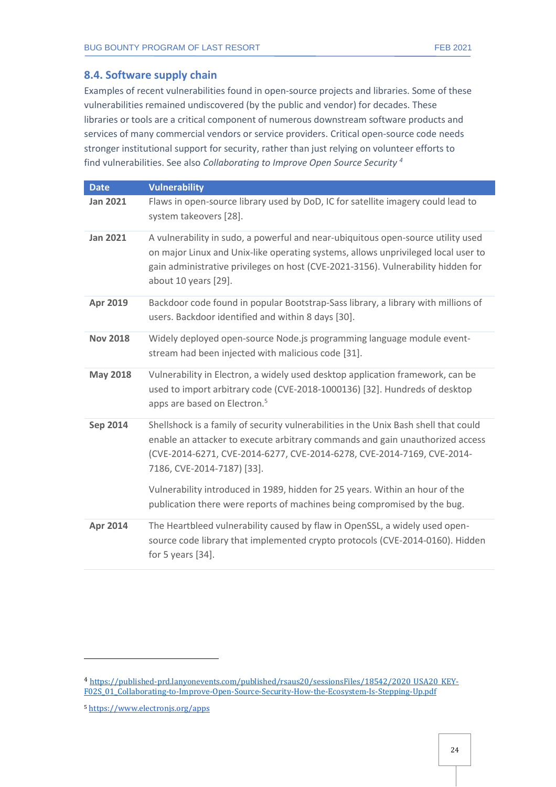#### <span id="page-23-0"></span>**8.4. Software supply chain**

Examples of recent vulnerabilities found in open-source projects and libraries. Some of these vulnerabilities remained undiscovered (by the public and vendor) for decades. These libraries or tools are a critical component of numerous downstream software products and services of many commercial vendors or service providers. Critical open-source code needs stronger institutional support for security, rather than just relying on volunteer efforts to find vulnerabilities. See also *Collaborating to Improve Open Source Security <sup>4</sup>*

| <b>Date</b>     | <b>Vulnerability</b>                                                                                                                                                                                                                                                                                                                                                                                                                      |
|-----------------|-------------------------------------------------------------------------------------------------------------------------------------------------------------------------------------------------------------------------------------------------------------------------------------------------------------------------------------------------------------------------------------------------------------------------------------------|
| <b>Jan 2021</b> | Flaws in open-source library used by DoD, IC for satellite imagery could lead to<br>system takeovers [28].                                                                                                                                                                                                                                                                                                                                |
| <b>Jan 2021</b> | A vulnerability in sudo, a powerful and near-ubiquitous open-source utility used<br>on major Linux and Unix-like operating systems, allows unprivileged local user to<br>gain administrative privileges on host (CVE-2021-3156). Vulnerability hidden for<br>about 10 years [29].                                                                                                                                                         |
| Apr 2019        | Backdoor code found in popular Bootstrap-Sass library, a library with millions of<br>users. Backdoor identified and within 8 days [30].                                                                                                                                                                                                                                                                                                   |
| <b>Nov 2018</b> | Widely deployed open-source Node.js programming language module event-<br>stream had been injected with malicious code [31].                                                                                                                                                                                                                                                                                                              |
| <b>May 2018</b> | Vulnerability in Electron, a widely used desktop application framework, can be<br>used to import arbitrary code (CVE-2018-1000136) [32]. Hundreds of desktop<br>apps are based on Electron. <sup>5</sup>                                                                                                                                                                                                                                  |
| <b>Sep 2014</b> | Shellshock is a family of security vulnerabilities in the Unix Bash shell that could<br>enable an attacker to execute arbitrary commands and gain unauthorized access<br>(CVE-2014-6271, CVE-2014-6277, CVE-2014-6278, CVE-2014-7169, CVE-2014-<br>7186, CVE-2014-7187) [33].<br>Vulnerability introduced in 1989, hidden for 25 years. Within an hour of the<br>publication there were reports of machines being compromised by the bug. |
| <b>Apr 2014</b> | The Heartbleed vulnerability caused by flaw in OpenSSL, a widely used open-<br>source code library that implemented crypto protocols (CVE-2014-0160). Hidden<br>for 5 years $[34]$ .                                                                                                                                                                                                                                                      |

<sup>4</sup> [https://published-prd.lanyonevents.com/published/rsaus20/sessionsFiles/18542/2020\\_USA20\\_KEY-](https://published-prd.lanyonevents.com/published/rsaus20/sessionsFiles/18542/2020_USA20_KEY-F02S_01_Collaborating-to-Improve-Open-Source-Security-How-the-Ecosystem-Is-Stepping-Up.pdf)[F02S\\_01\\_Collaborating-to-Improve-Open-Source-Security-How-the-Ecosystem-Is-Stepping-Up.pdf](https://published-prd.lanyonevents.com/published/rsaus20/sessionsFiles/18542/2020_USA20_KEY-F02S_01_Collaborating-to-Improve-Open-Source-Security-How-the-Ecosystem-Is-Stepping-Up.pdf)

<sup>5</sup> <https://www.electronjs.org/apps>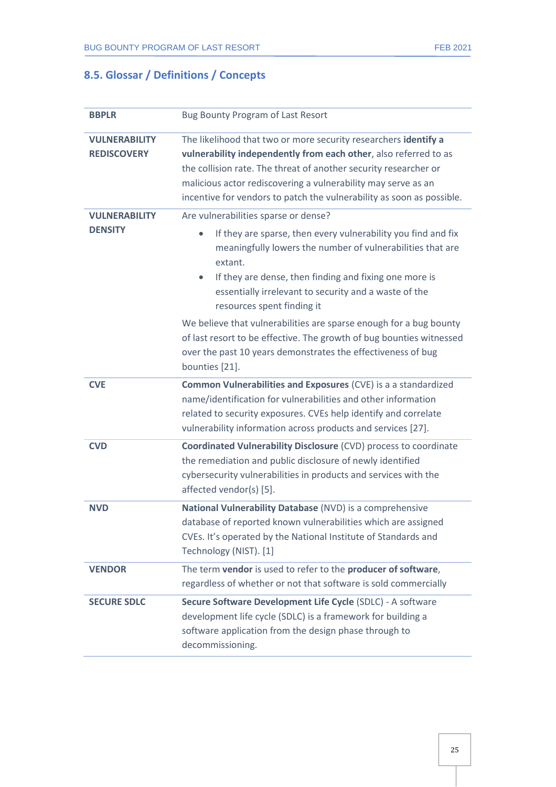## <span id="page-24-0"></span>**8.5. Glossar / Definitions / Concepts**

| <b>BBPLR</b>                               | <b>Bug Bounty Program of Last Resort</b>                                                                                                                                                                                                                                                                                                                                                                                                                                                                |  |  |  |  |  |
|--------------------------------------------|---------------------------------------------------------------------------------------------------------------------------------------------------------------------------------------------------------------------------------------------------------------------------------------------------------------------------------------------------------------------------------------------------------------------------------------------------------------------------------------------------------|--|--|--|--|--|
| <b>VULNERABILITY</b><br><b>REDISCOVERY</b> | The likelihood that two or more security researchers identify a<br>vulnerability independently from each other, also referred to as<br>the collision rate. The threat of another security researcher or<br>malicious actor rediscovering a vulnerability may serve as an<br>incentive for vendors to patch the vulnerability as soon as possible.                                                                                                                                                       |  |  |  |  |  |
| <b>VULNERABILITY</b><br><b>DENSITY</b>     | Are vulnerabilities sparse or dense?<br>If they are sparse, then every vulnerability you find and fix<br>$\bullet$<br>meaningfully lowers the number of vulnerabilities that are<br>extant.<br>If they are dense, then finding and fixing one more is<br>$\bullet$<br>essentially irrelevant to security and a waste of the<br>resources spent finding it<br>We believe that vulnerabilities are sparse enough for a bug bounty<br>of last resort to be effective. The growth of bug bounties witnessed |  |  |  |  |  |
|                                            | over the past 10 years demonstrates the effectiveness of bug<br>bounties [21].                                                                                                                                                                                                                                                                                                                                                                                                                          |  |  |  |  |  |
| <b>CVE</b>                                 | Common Vulnerabilities and Exposures (CVE) is a a standardized<br>name/identification for vulnerabilities and other information<br>related to security exposures. CVEs help identify and correlate<br>vulnerability information across products and services [27].                                                                                                                                                                                                                                      |  |  |  |  |  |
| <b>CVD</b>                                 | <b>Coordinated Vulnerability Disclosure (CVD) process to coordinate</b><br>the remediation and public disclosure of newly identified<br>cybersecurity vulnerabilities in products and services with the<br>affected vendor(s) [5].                                                                                                                                                                                                                                                                      |  |  |  |  |  |
| <b>NVD</b>                                 | National Vulnerability Database (NVD) is a comprehensive<br>database of reported known vulnerabilities which are assigned<br>CVEs. It's operated by the National Institute of Standards and<br>Technology (NIST). [1]                                                                                                                                                                                                                                                                                   |  |  |  |  |  |
| <b>VENDOR</b>                              | The term vendor is used to refer to the producer of software,<br>regardless of whether or not that software is sold commercially                                                                                                                                                                                                                                                                                                                                                                        |  |  |  |  |  |
| <b>SECURE SDLC</b>                         | Secure Software Development Life Cycle (SDLC) - A software<br>development life cycle (SDLC) is a framework for building a<br>software application from the design phase through to<br>decommissioning.                                                                                                                                                                                                                                                                                                  |  |  |  |  |  |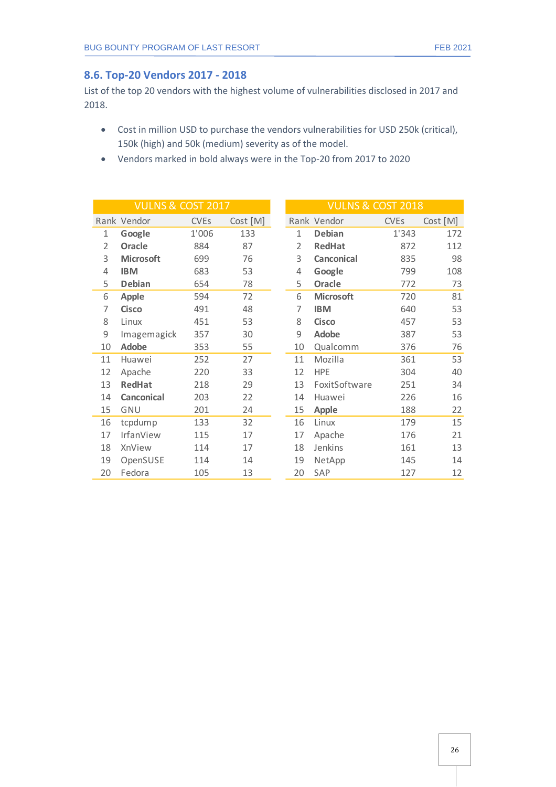#### <span id="page-25-0"></span>**8.6. Top-20 Vendors 2017 - 2018**

List of the top 20 vendors with the highest volume of vulnerabilities disclosed in 2017 and 2018.

- Cost in million USD to purchase the vendors vulnerabilities for USD 250k (critical), 150k (high) and 50k (medium) severity as of the model.
- Vendors marked in bold always were in the Top-20 from 2017 to 2020

| <b>VULNS &amp; COST 2017</b> |                  |                        |          |  |                | <b>VULNS &amp; COST 2018</b> |                        |          |
|------------------------------|------------------|------------------------|----------|--|----------------|------------------------------|------------------------|----------|
|                              | Rank Vendor      | <b>CVE<sub>s</sub></b> | Cost [M] |  |                | Rank Vendor                  | <b>CVE<sub>s</sub></b> | Cost [M] |
| 1                            | Google           | 1'006                  | 133      |  | 1              | Debian                       | 1'343                  | 172      |
| $\overline{2}$               | Oracle           | 884                    | 87       |  | $\overline{2}$ | <b>RedHat</b>                | 872                    | 112      |
| 3                            | <b>Microsoft</b> | 699                    | 76       |  | 3              | <b>Canconical</b>            | 835                    | 98       |
| 4                            | <b>IBM</b>       | 683                    | 53       |  | 4              | Google                       | 799                    | 108      |
| 5                            | <b>Debian</b>    | 654                    | 78       |  | 5              | Oracle                       | 772                    | 73       |
| 6                            | <b>Apple</b>     | 594                    | 72       |  | 6              | <b>Microsoft</b>             | 720                    | 81       |
| 7                            | <b>Cisco</b>     | 491                    | 48       |  | 7              | <b>IBM</b>                   | 640                    | 53       |
| 8                            | Linux            | 451                    | 53       |  | 8              | <b>Cisco</b>                 | 457                    | 53       |
| 9                            | Imagemagick      | 357                    | 30       |  | 9              | <b>Adobe</b>                 | 387                    | 53       |
| 10                           | <b>Adobe</b>     | 353                    | 55       |  | 10             | Qualcomm                     | 376                    | 76       |
| 11                           | Huawei           | 252                    | 27       |  | 11             | Mozilla                      | 361                    | 53       |
| 12                           | Apache           | 220                    | 33       |  | 12             | <b>HPE</b>                   | 304                    | 40       |
| 13                           | <b>RedHat</b>    | 218                    | 29       |  | 13             | FoxitSoftware                | 251                    | 34       |
| 14                           | Canconical       | 203                    | 22       |  | 14             | Huawei                       | 226                    | 16       |
| 15                           | GNU              | 201                    | 24       |  | 15             | Apple                        | 188                    | 22       |
| 16                           | tcpdump          | 133                    | 32       |  | 16             | Linux                        | 179                    | 15       |
| 17                           | IrfanView        | 115                    | 17       |  | 17             | Apache                       | 176                    | 21       |
| 18                           | XnView           | 114                    | 17       |  | 18             | Jenkins                      | 161                    | 13       |
| 19                           | OpenSUSE         | 114                    | 14       |  | 19             | NetApp                       | 145                    | 14       |
| 20                           | Fedora           | 105                    | 13       |  | 20             | SAP                          | 127                    | 12       |